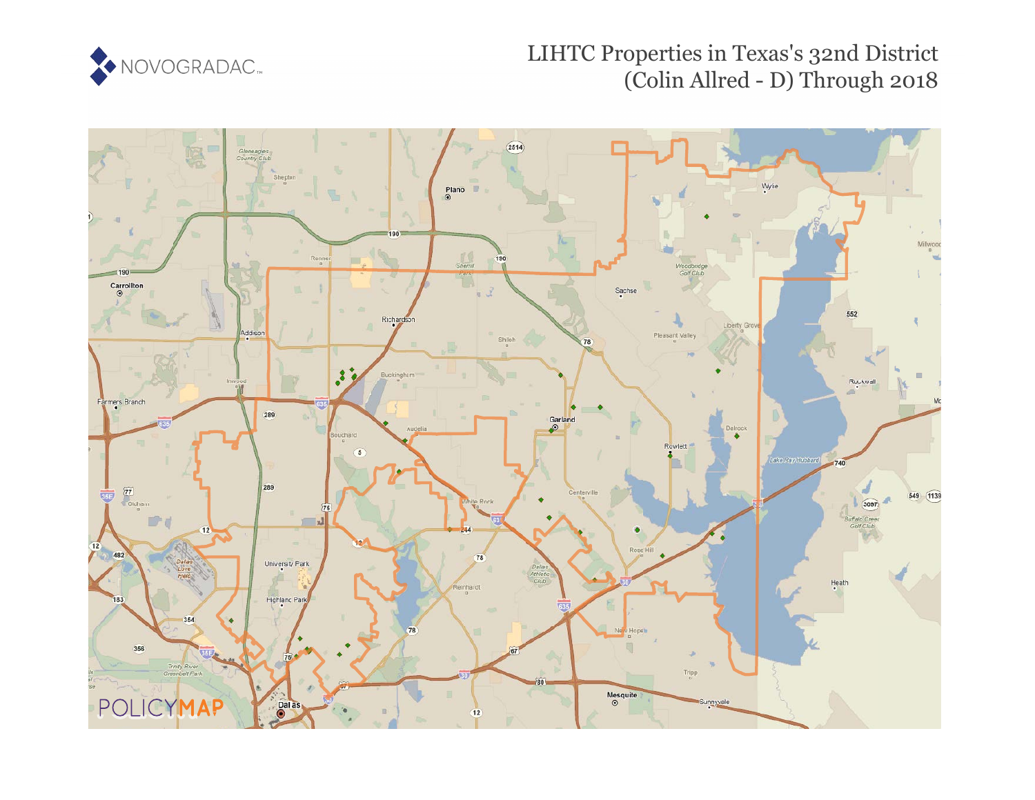

## LIHTC Properties in Texas's 32nd District (Colin Allred - D) Through 2018

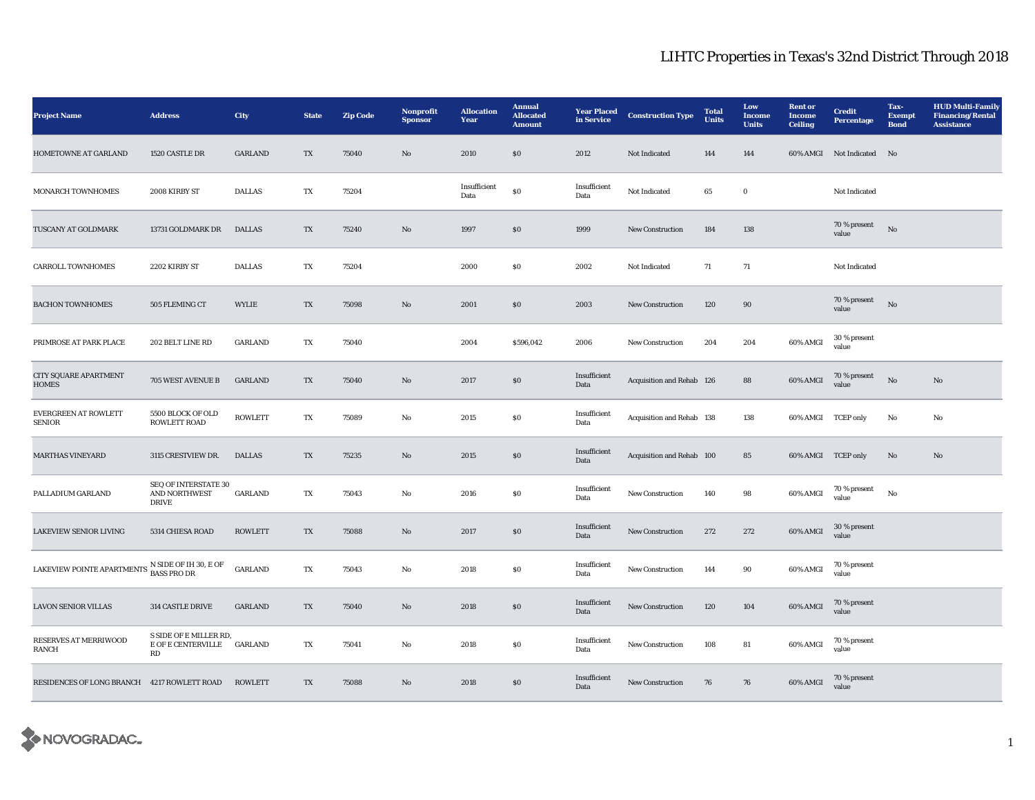## LIHTC Properties in Texas's 32nd District Through 2018

| <b>Project Name</b>                                                                                    | <b>Address</b>                                               | City           | <b>State</b> | <b>Zip Code</b> | Nonprofit<br><b>Sponsor</b> | <b>Allocation</b><br>Year | <b>Annual</b><br><b>Allocated</b><br><b>Amount</b> | <b>Year Placed</b><br>in Service | <b>Construction Type</b>  | <b>Total</b><br><b>Units</b> | Low<br>Income<br><b>Units</b> | <b>Rent</b> or<br><b>Income</b><br><b>Ceiling</b> | <b>Credit</b><br>Percentage | Tax-<br><b>Exempt</b><br><b>Bond</b> | <b>HUD Multi-Family</b><br><b>Financing/Rental</b><br><b>Assistance</b> |
|--------------------------------------------------------------------------------------------------------|--------------------------------------------------------------|----------------|--------------|-----------------|-----------------------------|---------------------------|----------------------------------------------------|----------------------------------|---------------------------|------------------------------|-------------------------------|---------------------------------------------------|-----------------------------|--------------------------------------|-------------------------------------------------------------------------|
| HOMETOWNE AT GARLAND                                                                                   | 1520 CASTLE DR                                               | <b>GARLAND</b> | TX           | 75040           | No                          | 2010                      | \$0                                                | 2012                             | Not Indicated             | 144                          | 144                           |                                                   | 60% AMGI Not Indicated      | N <sub>0</sub>                       |                                                                         |
| MONARCH TOWNHOMES                                                                                      | 2008 KIRBY ST                                                | <b>DALLAS</b>  | TX           | 75204           |                             | Insufficient<br>Data      | $\bf{S0}$                                          | Insufficient<br>Data             | Not Indicated             | 65                           | $\bf{0}$                      |                                                   | Not Indicated               |                                      |                                                                         |
| TUSCANY AT GOLDMARK                                                                                    | 13731 GOLDMARK DR                                            | <b>DALLAS</b>  | TX           | 75240           | $\mathbf{N}\mathbf{o}$      | 1997                      | $\$0$                                              | 1999                             | New Construction          | 184                          | $138\,$                       |                                                   | 70 % present<br>value       | $_{\rm No}$                          |                                                                         |
| <b>CARROLL TOWNHOMES</b>                                                                               | 2202 KIRBY ST                                                | <b>DALLAS</b>  | TX           | 75204           |                             | 2000                      | $\$0$                                              | 2002                             | Not Indicated             | 71                           | 71                            |                                                   | Not Indicated               |                                      |                                                                         |
| <b>BACHON TOWNHOMES</b>                                                                                | 505 FLEMING CT                                               | WYLIE          | TX           | 75098           | $\mathbf{N}\mathbf{o}$      | 2001                      | \$0                                                | 2003                             | <b>New Construction</b>   | 120                          | 90                            |                                                   | 70 % present<br>value       | No                                   |                                                                         |
| PRIMROSE AT PARK PLACE                                                                                 | 202 BELT LINE RD                                             | <b>GARLAND</b> | TX           | 75040           |                             | 2004                      | \$596,042                                          | 2006                             | <b>New Construction</b>   | 204                          | 204                           | 60% AMGI                                          | 30 % present<br>value       |                                      |                                                                         |
| CITY SQUARE APARTMENT<br><b>HOMES</b>                                                                  | 705 WEST AVENUE B                                            | <b>GARLAND</b> | TX           | 75040           | $\mathbf{No}$               | 2017                      | $\$0$                                              | Insufficient<br>Data             | Acquisition and Rehab 126 |                              | 88                            | 60% AMGI                                          | 70 % present<br>value       | $_{\rm No}$                          | $\rm No$                                                                |
| <b>EVERGREEN AT ROWLETT</b><br><b>SENIOR</b>                                                           | 5500 BLOCK OF OLD<br>ROWLETT ROAD                            | <b>ROWLETT</b> | TX           | 75089           | $_{\rm No}$                 | 2015                      | $\$0$                                              | Insufficient<br>Data             | Acquisition and Rehab 138 |                              | 138                           | 60% AMGI TCEP only                                |                             | $_{\rm No}$                          | $\mathbf{No}$                                                           |
| <b>MARTHAS VINEYARD</b>                                                                                | 3115 CRESTVIEW DR.                                           | <b>DALLAS</b>  | TX           | 75235           | No                          | 2015                      | $\$0$                                              | Insufficient<br>Data             | Acquisition and Rehab 100 |                              | 85                            | 60% AMGI TCEP only                                |                             | No                                   | No                                                                      |
| PALLADIUM GARLAND                                                                                      | SEQ OF INTERSTATE 30<br><b>AND NORTHWEST</b><br><b>DRIVE</b> | <b>GARLAND</b> | TX           | 75043           | No                          | 2016                      | $\$0$                                              | Insufficient<br>Data             | New Construction          | 140                          | 98                            | 60% AMGI                                          | $70\,\%$ present<br>value   | No                                   |                                                                         |
| <b>LAKEVIEW SENIOR LIVING</b>                                                                          | 5314 CHIESA ROAD                                             | <b>ROWLETT</b> | TX           | 75088           | No                          | 2017                      | \$0                                                | Insufficient<br>Data             | New Construction          | 272                          | 272                           | 60% AMGI                                          | 30 % present<br>value       |                                      |                                                                         |
| LAKEVIEW POINTE APARTMENTS $\,$ N SIDE OF IH 30, E OF $\,$ LAKEVIEW POINTE APARTMENTS $\,$ BASS PRO DR |                                                              | <b>GARLAND</b> | TX           | 75043           | No                          | 2018                      | $\$0$                                              | Insufficient<br>Data             | New Construction          | 144                          | 90                            | 60% AMGI                                          | 70 % present<br>value       |                                      |                                                                         |
| <b>LAVON SENIOR VILLAS</b>                                                                             | 314 CASTLE DRIVE                                             | <b>GARLAND</b> | TX           | 75040           | $\mathbf{No}$               | 2018                      | \$0                                                | Insufficient<br>Data             | New Construction          | 120                          | 104                           | 60% AMGI                                          | 70 % present<br>value       |                                      |                                                                         |
| RESERVES AT MERRIWOOD<br><b>RANCH</b>                                                                  | S SIDE OF E MILLER RD,<br>E OF E CENTERVILLE<br>RD           | <b>GARLAND</b> | TX           | 75041           | No                          | 2018                      | SO.                                                | Insufficient<br>Data             | New Construction          | 108                          | 81                            | 60% AMGI                                          | 70 % present<br>value       |                                      |                                                                         |
| RESIDENCES OF LONG BRANCH 4217 ROWLETT ROAD                                                            |                                                              | <b>ROWLETT</b> | TX           | 75088           | $\mathbf{No}$               | 2018                      | $\$0$                                              | Insufficient<br>Data             | New Construction          | 76                           | 76                            | 60% AMGI                                          | 70 % present<br>value       |                                      |                                                                         |

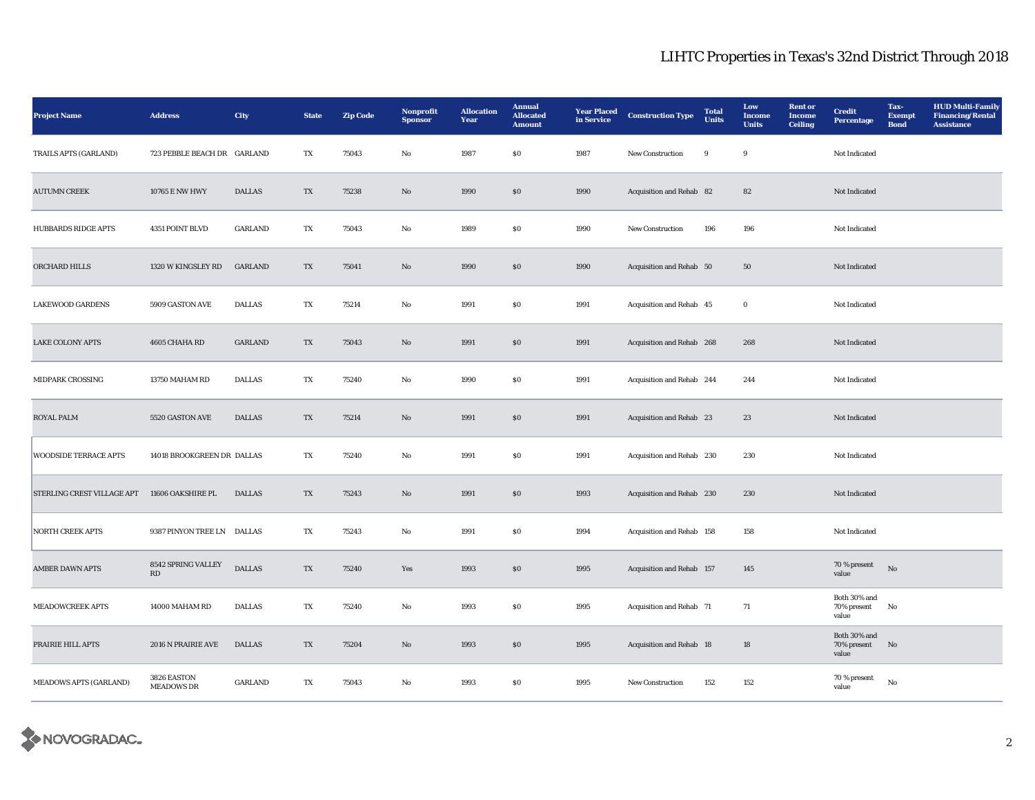## LIHTC Properties in Texas's 32nd District Through 2018

| <b>Project Name</b>           | <b>Address</b>                   | City           | <b>State</b> | <b>Zip Code</b> | <b>Nonprofit</b><br><b>Sponsor</b> | <b>Allocation</b><br>Year | <b>Annual</b><br><b>Allocated</b><br><b>Amount</b> | <b>Year Placed</b><br>in Service | <b>Construction Type</b>  | <b>Total</b><br>Units | Low<br>Income<br><b>Units</b> | <b>Rent</b> or<br><b>Income</b><br><b>Ceiling</b> | <b>Credit</b><br><b>Percentage</b>   | Tax-<br><b>Exempt</b><br><b>Bond</b> | <b>HUD Multi-Family</b><br><b>Financing/Rental</b><br><b>Assistance</b> |
|-------------------------------|----------------------------------|----------------|--------------|-----------------|------------------------------------|---------------------------|----------------------------------------------------|----------------------------------|---------------------------|-----------------------|-------------------------------|---------------------------------------------------|--------------------------------------|--------------------------------------|-------------------------------------------------------------------------|
| TRAILS APTS (GARLAND)         | 723 PEBBLE BEACH DR GARLAND      |                | TX           | 75043           | No                                 | 1987                      | SO.                                                | 1987                             | <b>New Construction</b>   | 9                     | 9                             |                                                   | Not Indicated                        |                                      |                                                                         |
| <b>AUTUMN CREEK</b>           | 10765 E NW HWY                   | <b>DALLAS</b>  | TX           | 75238           | $\mathbf{N}\mathbf{o}$             | 1990                      | \$0\$                                              | 1990                             | Acquisition and Rehab 82  |                       | 82                            |                                                   | Not Indicated                        |                                      |                                                                         |
| <b>HUBBARDS RIDGE APTS</b>    | 4351 POINT BLVD                  | <b>GARLAND</b> | TX           | 75043           | $\rm No$                           | 1989                      | $\$0$                                              | 1990                             | New Construction          | 196                   | 196                           |                                                   | Not Indicated                        |                                      |                                                                         |
| ORCHARD HILLS                 | 1320 W KINGSLEY RD               | GARLAND        | TX           | 75041           | $\rm No$                           | 1990                      | $\$0$                                              | 1990                             | Acquisition and Rehab 50  |                       | 50                            |                                                   | Not Indicated                        |                                      |                                                                         |
| <b>LAKEWOOD GARDENS</b>       | 5909 GASTON AVE                  | <b>DALLAS</b>  | TX           | 75214           | No                                 | 1991                      | S <sub>0</sub>                                     | 1991                             | Acquisition and Rehab 45  |                       | $\bf{0}$                      |                                                   | Not Indicated                        |                                      |                                                                         |
| <b>LAKE COLONY APTS</b>       | 4605 CHAHA RD                    | GARLAND        | TX           | 75043           | No                                 | 1991                      | S <sub>0</sub>                                     | 1991                             | Acquisition and Rehab 268 |                       | 268                           |                                                   | Not Indicated                        |                                      |                                                                         |
| MIDPARK CROSSING              | 13750 MAHAM RD                   | <b>DALLAS</b>  | TX           | 75240           | $\rm No$                           | 1990                      | $\$0$                                              | 1991                             | Acquisition and Rehab 244 |                       | 244                           |                                                   | Not Indicated                        |                                      |                                                                         |
| <b>ROYAL PALM</b>             | 5520 GASTON AVE                  | <b>DALLAS</b>  | TX           | 75214           | $\mathbf{N}\mathbf{o}$             | 1991                      | \$0\$                                              | 1991                             | Acquisition and Rehab 23  |                       | 23                            |                                                   | Not Indicated                        |                                      |                                                                         |
| <b>WOODSIDE TERRACE APTS</b>  | 14018 BROOKGREEN DR DALLAS       |                | TX           | 75240           | No                                 | 1991                      | $\$0$                                              | 1991                             | Acquisition and Rehab 230 |                       | 230                           |                                                   | Not Indicated                        |                                      |                                                                         |
| STERLING CREST VILLAGE APT    | 11606 OAKSHIRE PL                | <b>DALLAS</b>  | TX           | 75243           | $\mathbf{N}\mathbf{o}$             | 1991                      | \$0\$                                              | 1993                             | Acquisition and Rehab 230 |                       | 230                           |                                                   | Not Indicated                        |                                      |                                                                         |
| <b>NORTH CREEK APTS</b>       | 9387 PINYON TREE LN DALLAS       |                | TX           | 75243           | No                                 | 1991                      | SO.                                                | 1994                             | Acquisition and Rehab 158 |                       | 158                           |                                                   | Not Indicated                        |                                      |                                                                         |
| <b>AMBER DAWN APTS</b>        | 8542 SPRING VALLEY<br>RD         | <b>DALLAS</b>  | TX           | 75240           | Yes                                | 1993                      | $\$0$                                              | 1995                             | Acquisition and Rehab 157 |                       | 145                           |                                                   | 70 % present<br>value                | No                                   |                                                                         |
| <b>MEADOWCREEK APTS</b>       | 14000 MAHAM RD                   | <b>DALLAS</b>  | TX           | 75240           | No                                 | 1993                      | \$0\$                                              | 1995                             | Acquisition and Rehab 71  |                       | 71                            |                                                   | Both 30% and<br>70% present<br>value | No                                   |                                                                         |
| PRAIRIE HILL APTS             | 2016 N PRAIRIE AVE               | <b>DALLAS</b>  | TX           | 75204           | $\mathbf{N}\mathbf{o}$             | 1993                      | \$0\$                                              | 1995                             | Acquisition and Rehab 18  |                       | 18                            |                                                   | Both 30% and<br>70% present<br>value | No                                   |                                                                         |
| <b>MEADOWS APTS (GARLAND)</b> | 3826 EASTON<br><b>MEADOWS DR</b> | <b>GARLAND</b> | TX           | 75043           | No                                 | 1993                      | \$0\$                                              | 1995                             | <b>New Construction</b>   | 152                   | 152                           |                                                   | $70\,\%$ present<br>value            | No                                   |                                                                         |